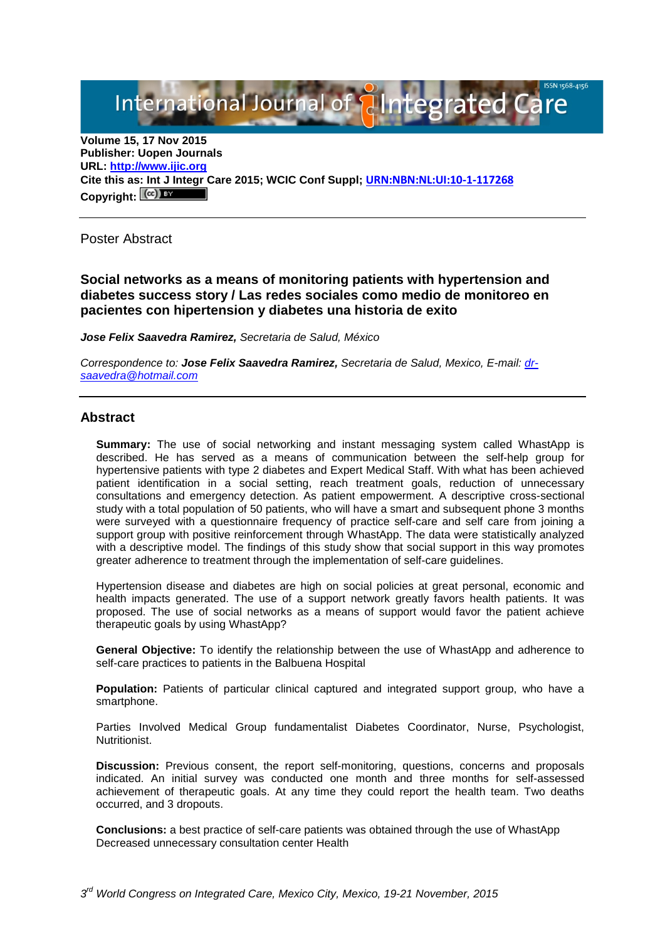International Journal of **Alntegrated Care** 

**Volume 15, 17 Nov 2015 Publisher: Uopen Journals URL: [http://www.ijic.org](http://www.ijic.org/) Cite this as: Int J Integr Care 2015; WCIC Conf Suppl; [URN:NBN:NL:UI:10-1-117268](http://persistent-identifier.nl/?identifier=URN:NBN:NL:UI:10-1-117268) Copyright:**

Poster Abstract

**Social networks as a means of monitoring patients with hypertension and diabetes success story / Las redes sociales como medio de monitoreo en pacientes con hipertension y diabetes una historia de exito** 

*Jose Felix Saavedra Ramirez, Secretaria de Salud, México*

*Correspondence to: Jose Felix Saavedra Ramirez, Secretaria de Salud, Mexico, E-mail: [dr](mailto:dr-saavedra@hotmail.com)[saavedra@hotmail.com](mailto:dr-saavedra@hotmail.com)*

## **Abstract**

**Summary:** The use of social networking and instant messaging system called WhastApp is described. He has served as a means of communication between the self-help group for hypertensive patients with type 2 diabetes and Expert Medical Staff. With what has been achieved patient identification in a social setting, reach treatment goals, reduction of unnecessary consultations and emergency detection. As patient empowerment. A descriptive cross-sectional study with a total population of 50 patients, who will have a smart and subsequent phone 3 months were surveyed with a questionnaire frequency of practice self-care and self care from joining a support group with positive reinforcement through WhastApp. The data were statistically analyzed with a descriptive model. The findings of this study show that social support in this way promotes greater adherence to treatment through the implementation of self-care guidelines.

Hypertension disease and diabetes are high on social policies at great personal, economic and health impacts generated. The use of a support network greatly favors health patients. It was proposed. The use of social networks as a means of support would favor the patient achieve therapeutic goals by using WhastApp?

**General Objective:** To identify the relationship between the use of WhastApp and adherence to self-care practices to patients in the Balbuena Hospital

**Population:** Patients of particular clinical captured and integrated support group, who have a smartphone.

Parties Involved Medical Group fundamentalist Diabetes Coordinator, Nurse, Psychologist, Nutritionist.

**Discussion:** Previous consent, the report self-monitoring, questions, concerns and proposals indicated. An initial survey was conducted one month and three months for self-assessed achievement of therapeutic goals. At any time they could report the health team. Two deaths occurred, and 3 dropouts.

**Conclusions:** a best practice of self-care patients was obtained through the use of WhastApp Decreased unnecessary consultation center Health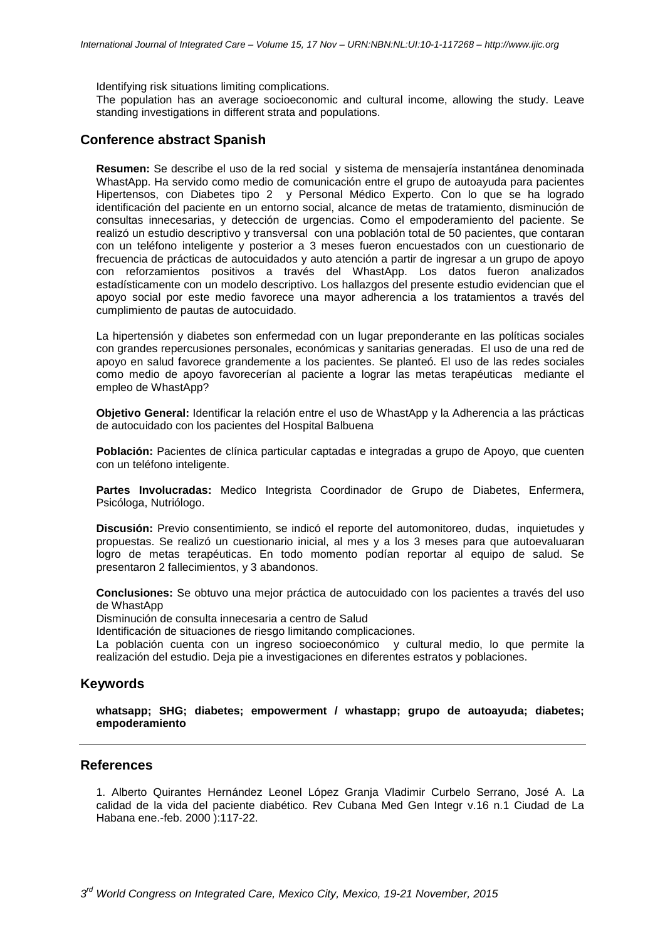Identifying risk situations limiting complications.

The population has an average socioeconomic and cultural income, allowing the study. Leave standing investigations in different strata and populations.

### **Conference abstract Spanish**

**Resumen:** Se describe el uso de la red social y sistema de mensajería instantánea denominada WhastApp. Ha servido como medio de comunicación entre el grupo de autoayuda para pacientes Hipertensos, con Diabetes tipo 2 y Personal Médico Experto. Con lo que se ha logrado identificación del paciente en un entorno social, alcance de metas de tratamiento, disminución de consultas innecesarias, y detección de urgencias. Como el empoderamiento del paciente. Se realizó un estudio descriptivo y transversal con una población total de 50 pacientes, que contaran con un teléfono inteligente y posterior a 3 meses fueron encuestados con un cuestionario de frecuencia de prácticas de autocuidados y auto atención a partir de ingresar a un grupo de apoyo con reforzamientos positivos a través del WhastApp. Los datos fueron analizados estadísticamente con un modelo descriptivo. Los hallazgos del presente estudio evidencian que el apoyo social por este medio favorece una mayor adherencia a los tratamientos a través del cumplimiento de pautas de autocuidado.

La hipertensión y diabetes son enfermedad con un lugar preponderante en las políticas sociales con grandes repercusiones personales, económicas y sanitarias generadas. El uso de una red de apoyo en salud favorece grandemente a los pacientes. Se planteó. El uso de las redes sociales como medio de apoyo favorecerían al paciente a lograr las metas terapéuticas mediante el empleo de WhastApp?

**Objetivo General:** Identificar la relación entre el uso de WhastApp y la Adherencia a las prácticas de autocuidado con los pacientes del Hospital Balbuena

**Población:** Pacientes de clínica particular captadas e integradas a grupo de Apoyo, que cuenten con un teléfono inteligente.

**Partes Involucradas:** Medico Integrista Coordinador de Grupo de Diabetes, Enfermera, Psicóloga, Nutriólogo.

**Discusión:** Previo consentimiento, se indicó el reporte del automonitoreo, dudas, inquietudes y propuestas. Se realizó un cuestionario inicial, al mes y a los 3 meses para que autoevaluaran logro de metas terapéuticas. En todo momento podían reportar al equipo de salud. Se presentaron 2 fallecimientos, y 3 abandonos.

**Conclusiones:** Se obtuvo una mejor práctica de autocuidado con los pacientes a través del uso de WhastApp

Disminución de consulta innecesaria a centro de Salud

Identificación de situaciones de riesgo limitando complicaciones.

La población cuenta con un ingreso socioeconómico y cultural medio, lo que permite la realización del estudio. Deja pie a investigaciones en diferentes estratos y poblaciones.

### **Keywords**

**whatsapp; SHG; diabetes; empowerment / whastapp; grupo de autoayuda; diabetes; empoderamiento** 

#### **References**

1. Alberto Quirantes Hernández Leonel López Granja Vladimir Curbelo Serrano, José A. La calidad de la vida del paciente diabético. Rev Cubana Med Gen Integr v.16 n.1 Ciudad de La Habana ene.-feb. 2000 ):117-22.